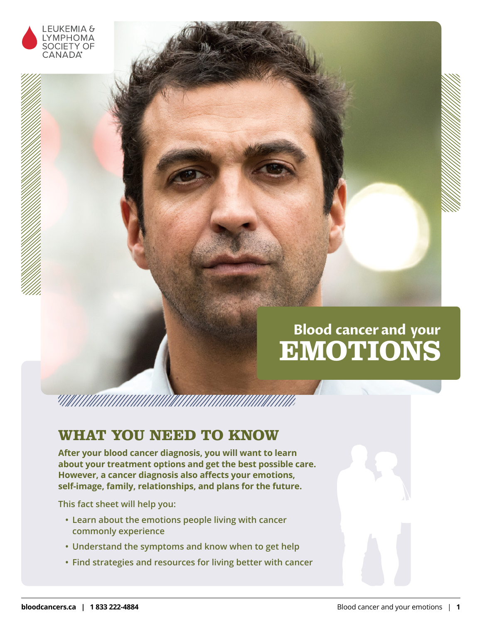

# **Blood cancer and your EMOTIONS**

# <u> ANIMANIA ANIMANI ANIMANI ANIMANI ANIMANI ANIMANI ANIMANI ANIMANI ANIMANI ANIMANI ANIMANI ANIMANI ANIMANI ANI</u>

# **WHAT YOU NEED TO KNOW**

**After your blood cancer diagnosis, you will want to learn about your treatment options and get the best possible care. However, a cancer diagnosis also affects your emotions, self-image, family, relationships, and plans for the future.**

**This fact sheet will help you:**

- **• Learn about the emotions people living with cancer commonly experience**
- **• Understand the symptoms and know when to get help**
- **• Find strategies and resources for living better with cancer**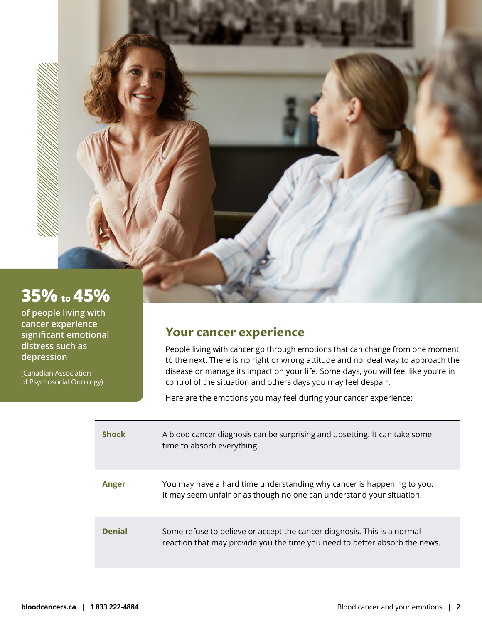# **35% to 45%**

**of people living with cancer experience significant emotional distress such as depression**

(Canadian Association of Psychosocial Oncology)

## **Your cancer experience**

People living with cancer go through emotions that can change from one moment to the next. There is no right or wrong attitude and no ideal way to approach the disease or manage its impact on your life. Some days, you will feel like you're in control of the situation and others days you may feel despair.

Here are the emotions you may feel during your cancer experience:

| <b>Shock</b>  | A blood cancer diagnosis can be surprising and upsetting. It can take some<br>time to absorb everything.                                              |
|---------------|-------------------------------------------------------------------------------------------------------------------------------------------------------|
| Anger         | You may have a hard time understanding why cancer is happening to you.<br>It may seem unfair or as though no one can understand your situation.       |
| <b>Denial</b> | Some refuse to believe or accept the cancer diagnosis. This is a normal<br>reaction that may provide you the time you need to better absorb the news. |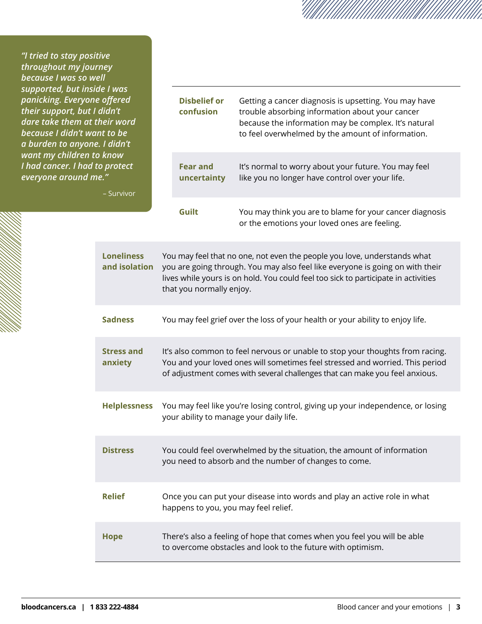*"I tried to stay positive throughout my journey because I was so well*  supported, but inside *panicking. Everyone of their support, but I didn't* dare take them at the **because I didn't want** *a burden to anyone. I want my children to k I had cancer. I had to protect everyone around me."* 

| 'e I was<br>offered<br>didn't<br>neir word<br>nt to be<br>I didn't<br>know<br>p protect<br>- Survivor |                                                                                                                                                                                                                                                                             | <b>Disbelief or</b><br>confusion | Getting a cancer diagnosis is upsetting. You may have<br>trouble absorbing information about your cancer<br>because the information may be complex. It's natural<br>to feel overwhelmed by the amount of information. |  |
|-------------------------------------------------------------------------------------------------------|-----------------------------------------------------------------------------------------------------------------------------------------------------------------------------------------------------------------------------------------------------------------------------|----------------------------------|-----------------------------------------------------------------------------------------------------------------------------------------------------------------------------------------------------------------------|--|
|                                                                                                       |                                                                                                                                                                                                                                                                             | <b>Fear and</b><br>uncertainty   | It's normal to worry about your future. You may feel<br>like you no longer have control over your life.                                                                                                               |  |
|                                                                                                       |                                                                                                                                                                                                                                                                             | Guilt                            | You may think you are to blame for your cancer diagnosis<br>or the emotions your loved ones are feeling.                                                                                                              |  |
| <b>Loneliness</b><br>and isolation                                                                    | You may feel that no one, not even the people you love, understands what<br>you are going through. You may also feel like everyone is going on with their<br>lives while yours is on hold. You could feel too sick to participate in activities<br>that you normally enjoy. |                                  |                                                                                                                                                                                                                       |  |
| <b>Sadness</b>                                                                                        | You may feel grief over the loss of your health or your ability to enjoy life.                                                                                                                                                                                              |                                  |                                                                                                                                                                                                                       |  |
| <b>Stress and</b><br>anxiety                                                                          | It's also common to feel nervous or unable to stop your thoughts from racing.<br>You and your loved ones will sometimes feel stressed and worried. This period<br>of adjustment comes with several challenges that can make you feel anxious.                               |                                  |                                                                                                                                                                                                                       |  |
| <b>Helplessness</b>                                                                                   | You may feel like you're losing control, giving up your independence, or losing<br>your ability to manage your daily life.                                                                                                                                                  |                                  |                                                                                                                                                                                                                       |  |
| <b>Distress</b>                                                                                       | You could feel overwhelmed by the situation, the amount of information<br>you need to absorb and the number of changes to come.                                                                                                                                             |                                  |                                                                                                                                                                                                                       |  |
| <b>Relief</b>                                                                                         | Once you can put your disease into words and play an active role in what<br>happens to you, you may feel relief.                                                                                                                                                            |                                  |                                                                                                                                                                                                                       |  |
| <b>Hope</b>                                                                                           | There's also a feeling of hope that comes when you feel you will be able<br>to overcome obstacles and look to the future with optimism.                                                                                                                                     |                                  |                                                                                                                                                                                                                       |  |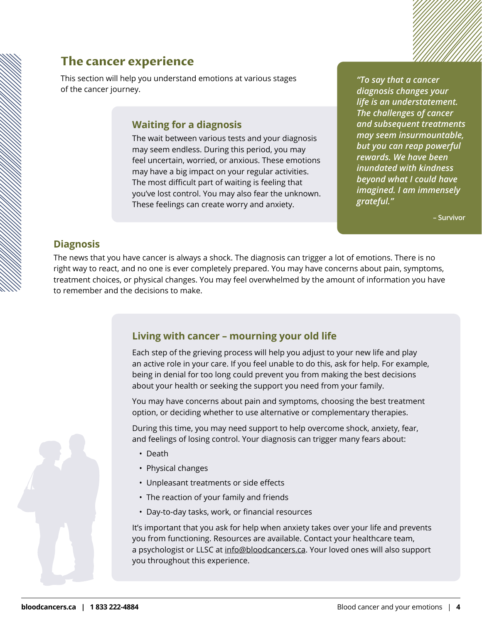## **The cancer experience**

This section will help you understand emotions at various stages of the cancer journey.

### **Waiting for a diagnosis**

The wait between various tests and your diagnosis may seem endless. During this period, you may feel uncertain, worried, or anxious. These emotions may have a big impact on your regular activities. The most difficult part of waiting is feeling that you've lost control. You may also fear the unknown. These feelings can create worry and anxiety.

*"To say that a cancer diagnosis changes your life is an understatement. The challenges of cancer and subsequent treatments may seem insurmountable, but you can reap powerful rewards. We have been inundated with kindness beyond what I could have imagined. I am immensely grateful."* 

**– Survivor**

### **Diagnosis**

The news that you have cancer is always a shock. The diagnosis can trigger a lot of emotions. There is no right way to react, and no one is ever completely prepared. You may have concerns about pain, symptoms, treatment choices, or physical changes. You may feel overwhelmed by the amount of information you have to remember and the decisions to make.

## **Living with cancer – mourning your old life**

Each step of the grieving process will help you adjust to your new life and play an active role in your care. If you feel unable to do this, ask for help. For example, being in denial for too long could prevent you from making the best decisions about your health or seeking the support you need from your family.

You may have concerns about pain and symptoms, choosing the best treatment option, or deciding whether to use alternative or complementary therapies.

During this time, you may need support to help overcome shock, anxiety, fear, and feelings of losing control. Your diagnosis can trigger many fears about:

- Death
- Physical changes
- Unpleasant treatments or side effects
- The reaction of your family and friends
- Day-to-day tasks, work, or financial resources

It's important that you ask for help when anxiety takes over your life and prevents you from functioning. Resources are available. Contact your healthcare team, a psychologist or LLSC at [info@bloodcancers.ca](mailto:info%40bloodcancers.ca?subject=). Your loved ones will also support you throughout this experience.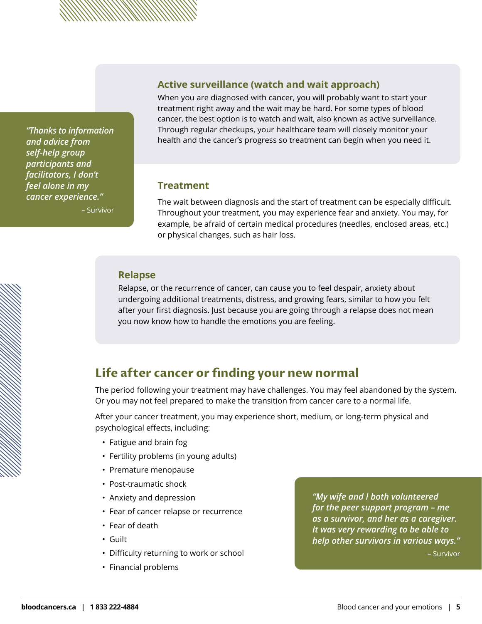**Active surveillance (watch and wait approach)**

When you are diagnosed with cancer, you will probably want to start your treatment right away and the wait may be hard. For some types of blood cancer, the best option is to watch and wait, also known as active surveillance. Through regular checkups, your healthcare team will closely monitor your health and the cancer's progress so treatment can begin when you need it.

### **Treatment**

The wait between diagnosis and the start of treatment can be especially difficult. Throughout your treatment, you may experience fear and anxiety. You may, for example, be afraid of certain medical procedures (needles, enclosed areas, etc.) or physical changes, such as hair loss.

### **Relapse**

Relapse, or the recurrence of cancer, can cause you to feel despair, anxiety about undergoing additional treatments, distress, and growing fears, similar to how you felt after your first diagnosis. Just because you are going through a relapse does not mean you now know how to handle the emotions you are feeling.

## **Life after cancer or finding your new normal**

The period following your treatment may have challenges. You may feel abandoned by the system. Or you may not feel prepared to make the transition from cancer care to a normal life.

After your cancer treatment, you may experience short, medium, or long-term physical and psychological effects, including:

- Fatigue and brain fog
- Fertility problems (in young adults)
- Premature menopause
- Post-traumatic shock
- Anxiety and depression
- Fear of cancer relapse or recurrence
- Fear of death
- Guilt
- Difficulty returning to work or school
- Financial problems

*"My wife and I both volunteered for the peer support program – me as a survivor, and her as a caregiver. It was very rewarding to be able to help other survivors in various ways."*

– Survivor

*"Thanks to information and advice from self-help group participants and facilitators, I don't feel alone in my cancer experience."*  – Survivor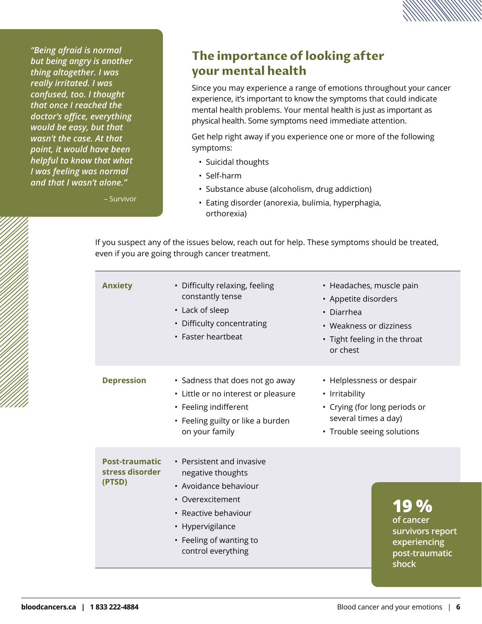*"Being afraid is normal but being angry is another thing altogether. I was really irritated. I was confused, too. I thought that once I reached the doctor's office, everything would be easy, but that wasn't the case. At that point, it would have been helpful to know that what I was feeling was normal and that I wasn't alone."*

– Survivor

## **The importance of looking after your mental health**

Since you may experience a range of emotions throughout your cancer experience, it's important to know the symptoms that could indicate mental health problems. Your mental health is just as important as physical health. Some symptoms need immediate attention.

Get help right away if you experience one or more of the following symptoms:

- Suicidal thoughts
- Self-harm
- Substance abuse (alcoholism, drug addiction)
- Eating disorder (anorexia, bulimia, hyperphagia, orthorexia)

If you suspect any of the issues below, reach out for help. These symptoms should be treated, even if you are going through cancer treatment.

| <b>Anxiety</b>                                     | • Difficulty relaxing, feeling<br>constantly tense<br>• Lack of sleep<br>• Difficulty concentrating<br>• Faster heartbeat                                                                | • Headaches, muscle pain<br>• Appetite disorders<br>• Diarrhea<br>• Weakness or dizziness<br>• Tight feeling in the throat<br>or chest |
|----------------------------------------------------|------------------------------------------------------------------------------------------------------------------------------------------------------------------------------------------|----------------------------------------------------------------------------------------------------------------------------------------|
| <b>Depression</b>                                  | • Sadness that does not go away<br>• Little or no interest or pleasure<br>• Feeling indifferent<br>• Feeling guilty or like a burden<br>on your family                                   | • Helplessness or despair<br>• Irritability<br>• Crying (for long periods or<br>several times a day)<br>• Trouble seeing solutions     |
| <b>Post-traumatic</b><br>stress disorder<br>(PTSD) | • Persistent and invasive<br>negative thoughts<br>• Avoidance behaviour<br>• Overexcitement<br>• Reactive behaviour<br>• Hypervigilance<br>• Feeling of wanting to<br>control everything | 19%<br>of cancer<br>survivors report<br>experiencing<br>post-traumatic<br>shock                                                        |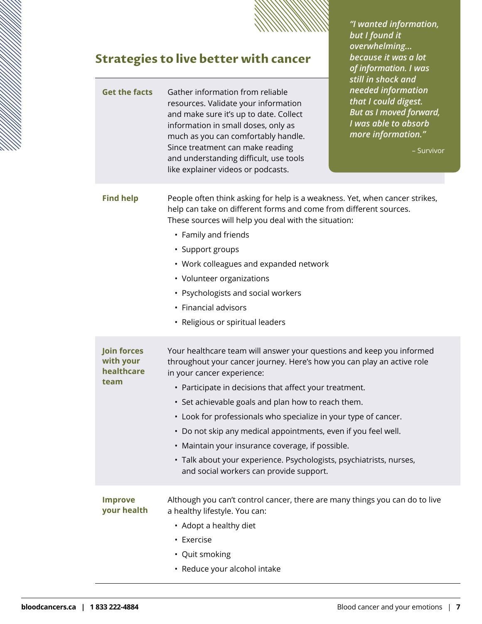

*"I wanted information,* 

*but I found it overwhelming... because it was a lot of information. I was still in shock and* 

# **Strategies to live better with cancer**

| <b>Get the facts</b>                                  | Gather information from reliable<br>resources. Validate your information<br>and make sure it's up to date. Collect<br>information in small doses, only as<br>much as you can comfortably handle.<br>Since treatment can make reading<br>and understanding difficult, use tools<br>like explainer videos or podcasts.                                                                                                                                                                                                                                                                                     | needed information<br>that I could digest.<br><b>But as I moved forward,</b><br>I was able to absorb<br>more information."<br>- Survivor |
|-------------------------------------------------------|----------------------------------------------------------------------------------------------------------------------------------------------------------------------------------------------------------------------------------------------------------------------------------------------------------------------------------------------------------------------------------------------------------------------------------------------------------------------------------------------------------------------------------------------------------------------------------------------------------|------------------------------------------------------------------------------------------------------------------------------------------|
| <b>Find help</b>                                      | People often think asking for help is a weakness. Yet, when cancer strikes,<br>help can take on different forms and come from different sources.<br>These sources will help you deal with the situation:<br>• Family and friends<br>• Support groups<br>• Work colleagues and expanded network<br>• Volunteer organizations<br>• Psychologists and social workers<br>• Financial advisors<br>• Religious or spiritual leaders                                                                                                                                                                            |                                                                                                                                          |
| <b>Join forces</b><br>with your<br>healthcare<br>team | Your healthcare team will answer your questions and keep you informed<br>throughout your cancer journey. Here's how you can play an active role<br>in your cancer experience:<br>• Participate in decisions that affect your treatment.<br>• Set achievable goals and plan how to reach them.<br>• Look for professionals who specialize in your type of cancer.<br>• Do not skip any medical appointments, even if you feel well.<br>• Maintain your insurance coverage, if possible.<br>· Talk about your experience. Psychologists, psychiatrists, nurses,<br>and social workers can provide support. |                                                                                                                                          |
| <b>Improve</b><br>your health                         | Although you can't control cancer, there are many things you can do to live<br>a healthy lifestyle. You can:<br>• Adopt a healthy diet<br>• Exercise<br>• Quit smoking<br>• Reduce your alcohol intake                                                                                                                                                                                                                                                                                                                                                                                                   |                                                                                                                                          |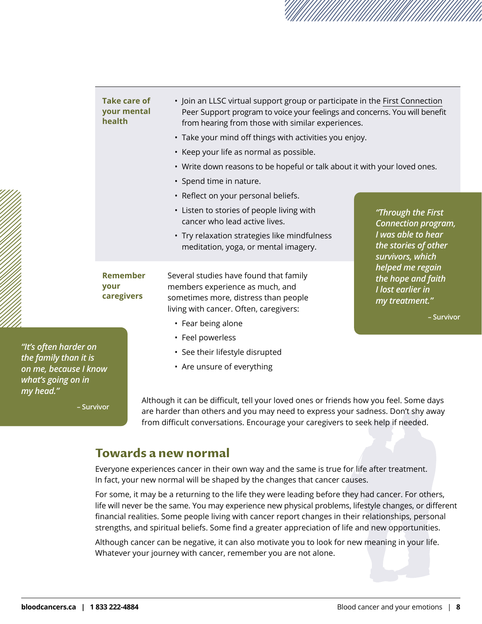|                                                | <b>Take care of</b><br>your mental<br>health | • Join an LLSC virtual support group or participate in the First Connection<br>Peer Support program to voice your feelings and concerns. You will benefit<br>from hearing from those with similar experiences. |                                                                                                                                                 |  |  |
|------------------------------------------------|----------------------------------------------|----------------------------------------------------------------------------------------------------------------------------------------------------------------------------------------------------------------|-------------------------------------------------------------------------------------------------------------------------------------------------|--|--|
|                                                |                                              |                                                                                                                                                                                                                | • Take your mind off things with activities you enjoy.                                                                                          |  |  |
|                                                |                                              | • Keep your life as normal as possible.                                                                                                                                                                        |                                                                                                                                                 |  |  |
|                                                |                                              | • Write down reasons to be hopeful or talk about it with your loved ones.                                                                                                                                      |                                                                                                                                                 |  |  |
|                                                |                                              | • Spend time in nature.                                                                                                                                                                                        |                                                                                                                                                 |  |  |
|                                                |                                              | • Reflect on your personal beliefs.                                                                                                                                                                            |                                                                                                                                                 |  |  |
|                                                |                                              | • Listen to stories of people living with<br>cancer who lead active lives.                                                                                                                                     | "Through the First<br><b>Connection program,</b>                                                                                                |  |  |
|                                                |                                              | • Try relaxation strategies like mindfulness<br>meditation, yoga, or mental imagery.                                                                                                                           | I was able to hear<br>the stories of other<br>survivors, which<br>helped me regain<br>the hope and faith<br>I lost earlier in<br>my treatment." |  |  |
|                                                | <b>Remember</b><br>your<br>caregivers        | Several studies have found that family<br>members experience as much, and<br>sometimes more, distress than people<br>living with cancer. Often, caregivers:                                                    |                                                                                                                                                 |  |  |
|                                                |                                              | • Fear being alone                                                                                                                                                                                             | - Survivor                                                                                                                                      |  |  |
|                                                |                                              | • Feel powerless                                                                                                                                                                                               |                                                                                                                                                 |  |  |
| "It's often harder on<br>the family than it is |                                              | • See their lifestyle disrupted                                                                                                                                                                                |                                                                                                                                                 |  |  |
| on me, because I know                          |                                              | • Are unsure of everything                                                                                                                                                                                     |                                                                                                                                                 |  |  |

*what's going on in my head."* 

**– Survivor**

Although it can be difficult, tell your loved ones or friends how you feel. Some days are harder than others and you may need to express your sadness. Don't shy away from difficult conversations. Encourage your caregivers to seek help if needed.

## **Towards a new normal**

Everyone experiences cancer in their own way and the same is true for life after treatment. In fact, your new normal will be shaped by the changes that cancer causes.

For some, it may be a returning to the life they were leading before they had cancer. For others, life will never be the same. You may experience new physical problems, lifestyle changes, or different financial realities. Some people living with cancer report changes in their relationships, personal strengths, and spiritual beliefs. Some find a greater appreciation of life and new opportunities.

Although cancer can be negative, it can also motivate you to look for new meaning in your life. Whatever your journey with cancer, remember you are not alone.